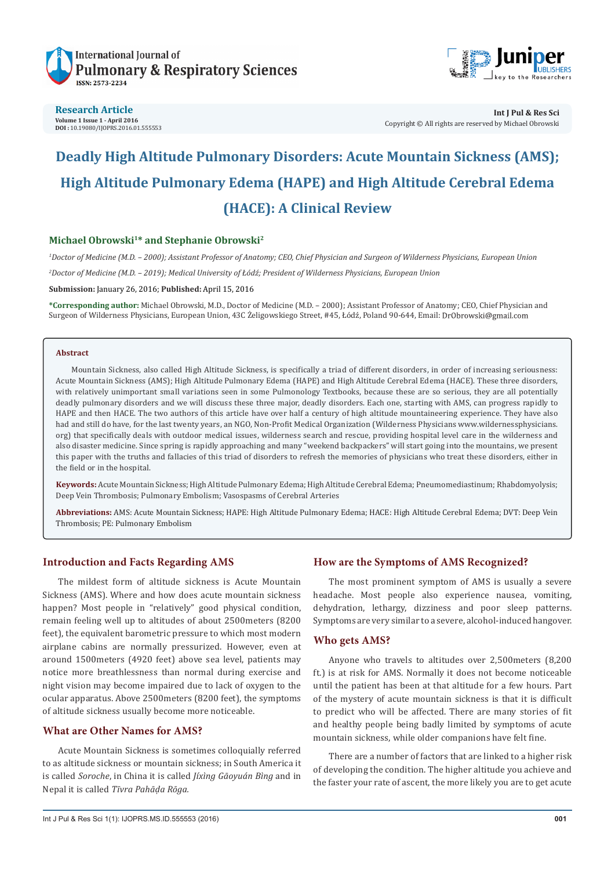



**Research Article Volume 1 Issue 1 - April 2016 DOI :** [10.19080/IJOPRS.2016.01.555553](http://dx.doi.org/10.19080/IJOPRS.2016.01.555553
)

# **Deadly High Altitude Pulmonary Disorders: Acute Mountain Sickness (AMS); High Altitude Pulmonary Edema (HAPE) and High Altitude Cerebral Edema (HACE): A Clinical Review**

# **Michael Obrowski1\* and Stephanie Obrowski2**

*1 Doctor of Medicine (M.D. – 2000); Assistant Professor of Anatomy; CEO, Chief Physician and Surgeon of Wilderness Physicians, European Union 2 Doctor of Medicine (M.D. – 2019); Medical University of Łódź; President of Wilderness Physicians, European Union*

**Submission:** January 26, 2016; **Published:** April 15, 2016

**\*Corresponding author:** Michael Obrowski, M.D., Doctor of Medicine (M.D. – 2000); Assistant Professor of Anatomy; CEO, Chief Physician and Surgeon of Wilderness Physicians, European Union, 43C Żeligowskiego Street, #45, Łódź, Poland 90-644, Email:

#### **Abstract**

Mountain Sickness, also called High Altitude Sickness, is specifically a triad of different disorders, in order of increasing seriousness: Acute Mountain Sickness (AMS); High Altitude Pulmonary Edema (HAPE) and High Altitude Cerebral Edema (HACE). These three disorders, with relatively unimportant small variations seen in some Pulmonology Textbooks, because these are so serious, they are all potentially deadly pulmonary disorders and we will discuss these three major, deadly disorders. Each one, starting with AMS, can progress rapidly to HAPE and then HACE. The two authors of this article have over half a century of high altitude mountaineering experience. They have also had and still do have, for the last twenty years, an NGO, Non-Profit Medical Organization (Wilderness Physicians www.wildernessphysicians. org) that specifically deals with outdoor medical issues, wilderness search and rescue, providing hospital level care in the wilderness and also disaster medicine. Since spring is rapidly approaching and many "weekend backpackers" will start going into the mountains, we present this paper with the truths and fallacies of this triad of disorders to refresh the memories of physicians who treat these disorders, either in the field or in the hospital.

**Keywords:** Acute Mountain Sickness; High Altitude Pulmonary Edema; High Altitude Cerebral Edema; Pneumomediastinum; Rhabdomyolysis; Deep Vein Thrombosis; Pulmonary Embolism; Vasospasms of Cerebral Arteries

**Abbreviations:** AMS: Acute Mountain Sickness; HAPE: High Altitude Pulmonary Edema; HACE: High Altitude Cerebral Edema; DVT: Deep Vein Thrombosis; PE: Pulmonary Embolism

# **Introduction and Facts Regarding AMS**

The mildest form of altitude sickness is Acute Mountain Sickness (AMS). Where and how does acute mountain sickness happen? Most people in "relatively" good physical condition, remain feeling well up to altitudes of about 2500meters (8200 feet), the equivalent barometric pressure to which most modern airplane cabins are normally pressurized. However, even at around 1500meters (4920 feet) above sea level, patients may notice more breathlessness than normal during exercise and night vision may become impaired due to lack of oxygen to the ocular apparatus. Above 2500meters (8200 feet), the symptoms of altitude sickness usually become more noticeable.

# **What are Other Names for AMS?**

Acute Mountain Sickness is sometimes colloquially referred to as altitude sickness or mountain sickness; in South America it is called *Soroche*, in China it is called *Jíxìng Gāoyuán Bìng* and in Nepal it is called *Tīvra Pahāḍa Rōga.*

#### **How are the Symptoms of AMS Recognized?**

The most prominent symptom of AMS is usually a severe headache. Most people also experience nausea, vomiting, dehydration, lethargy, dizziness and poor sleep patterns. Symptoms are very similar to a severe, alcohol-induced hangover.

#### **Who gets AMS?**

Anyone who travels to altitudes over 2,500meters (8,200 ft.) is at risk for AMS. Normally it does not become noticeable until the patient has been at that altitude for a few hours. Part of the mystery of acute mountain sickness is that it is difficult to predict who will be affected. There are many stories of fit and healthy people being badly limited by symptoms of acute mountain sickness, while older companions have felt fine.

There are a number of factors that are linked to a higher risk of developing the condition. The higher altitude you achieve and the faster your rate of ascent, the more likely you are to get acute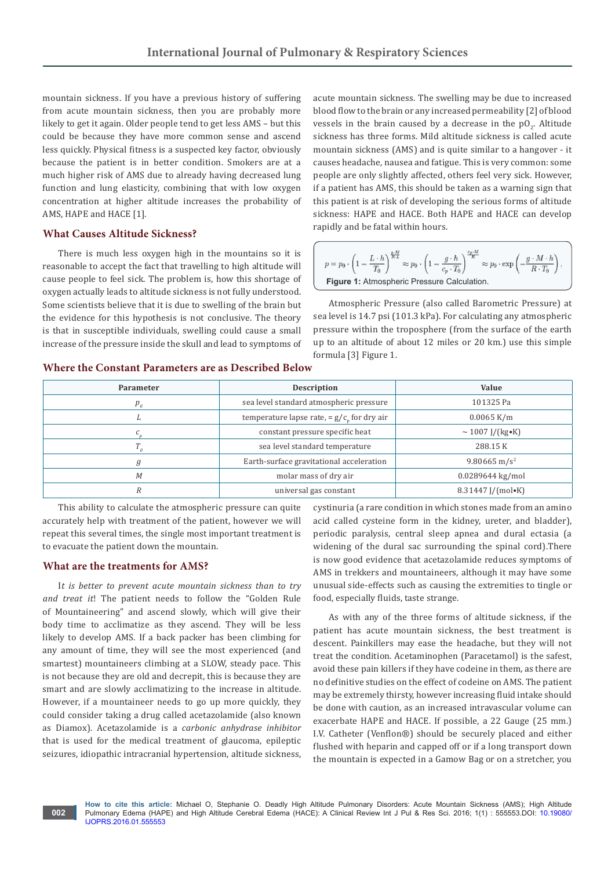mountain sickness. If you have a previous history of suffering from acute mountain sickness, then you are probably more likely to get it again. Older people tend to get less AMS – but this could be because they have more common sense and ascend less quickly. Physical fitness is a suspected key factor, obviously because the patient is in better condition. Smokers are at a much higher risk of AMS due to already having decreased lung function and lung elasticity, combining that with low oxygen concentration at higher altitude increases the probability of AMS, HAPE and HACE [1].

# **What Causes Altitude Sickness?**

There is much less oxygen high in the mountains so it is reasonable to accept the fact that travelling to high altitude will cause people to feel sick. The problem is, how this shortage of oxygen actually leads to altitude sickness is not fully understood. Some scientists believe that it is due to swelling of the brain but the evidence for this hypothesis is not conclusive. The theory is that in susceptible individuals, swelling could cause a small increase of the pressure inside the skull and lead to symptoms of acute mountain sickness. The swelling may be due to increased blood flow to the brain or any increased permeability [2] of blood vessels in the brain caused by a decrease in the  $\text{pO}_2$ . Altitude sickness has three forms. Mild altitude sickness is called acute mountain sickness (AMS) and is quite similar to a hangover - it causes headache, nausea and fatigue. This is very common: some people are only slightly affected, others feel very sick. However, if a patient has AMS, this should be taken as a warning sign that this patient is at risk of developing the serious forms of altitude sickness: HAPE and HACE. Both HAPE and HACE can develop rapidly and be fatal within hours.

$$
p = p_0 \cdot \left(1 - \frac{L \cdot h}{T_0}\right)^{\frac{q \cdot M}{R \cdot L}} \approx p_0 \cdot \left(1 - \frac{g \cdot h}{c_p \cdot T_0}\right)^{\frac{c_p \cdot M}{R}} \approx p_0 \cdot \exp\left(-\frac{g \cdot M \cdot h}{R \cdot T_0}\right),
$$
  
**Figure 1:** Atmospheric Pressure Calculation.

Atmospheric Pressure (also called Barometric Pressure) at sea level is 14.7 psi (101.3 kPa). For calculating any atmospheric pressure within the troposphere (from the surface of the earth up to an altitude of about 12 miles or 20 km.) use this simple formula [3] Figure 1.

| Parameter                  | <b>Description</b>                          | Value                       |
|----------------------------|---------------------------------------------|-----------------------------|
| $p_{\scriptscriptstyle n}$ | sea level standard atmospheric pressure     | 101325 Pa                   |
|                            | temperature lapse rate, = $g/c$ for dry air | $0.0065$ K/m                |
|                            | constant pressure specific heat             | $\sim 1007$ J/(kg•K)        |
|                            | sea level standard temperature              | 288.15 K                    |
| g                          | Earth-surface gravitational acceleration    | 9.80665 m/s <sup>2</sup>    |
| M                          | molar mass of dry air                       | $0.0289644$ kg/mol          |
|                            | universal gas constant                      | $8.31447$ [/(mol $\cdot$ K) |

#### **Where the Constant Parameters are as Described Below**

This ability to calculate the atmospheric pressure can quite accurately help with treatment of the patient, however we will repeat this several times, the single most important treatment is to evacuate the patient down the mountain.

#### **What are the treatments for AMS?**

**002**

I*t is better to prevent acute mountain sickness than to try and treat it*! The patient needs to follow the "Golden Rule of Mountaineering" and ascend slowly, which will give their body time to acclimatize as they ascend. They will be less likely to develop AMS. If a back packer has been climbing for any amount of time, they will see the most experienced (and smartest) mountaineers climbing at a SLOW, steady pace. This is not because they are old and decrepit, this is because they are smart and are slowly acclimatizing to the increase in altitude. However, if a mountaineer needs to go up more quickly, they could consider taking a drug called acetazolamide (also known as Diamox). Acetazolamide is a *carbonic anhydrase inhibitor* that is used for the medical treatment of glaucoma, epileptic seizures, idiopathic intracranial hypertension, altitude sickness,

cystinuria (a rare condition in which stones made from an amino acid called cysteine form in the kidney, ureter, and bladder), periodic paralysis, central sleep apnea and dural ectasia (a widening of the dural sac surrounding the spinal cord).There is now good evidence that acetazolamide reduces symptoms of AMS in trekkers and mountaineers, although it may have some unusual side-effects such as causing the extremities to tingle or food, especially fluids, taste strange.

As with any of the three forms of altitude sickness, if the patient has acute mountain sickness, the best treatment is descent. Painkillers may ease the headache, but they will not treat the condition. Acetaminophen (Paracetamol) is the safest, avoid these pain killers if they have codeine in them, as there are no definitive studies on the effect of codeine on AMS. The patient may be extremely thirsty, however increasing fluid intake should be done with caution, as an increased intravascular volume can exacerbate HAPE and HACE. If possible, a 22 Gauge (25 mm.) I.V. Catheter (Venflon®) should be securely placed and either flushed with heparin and capped off or if a long transport down the mountain is expected in a Gamow Bag or on a stretcher, you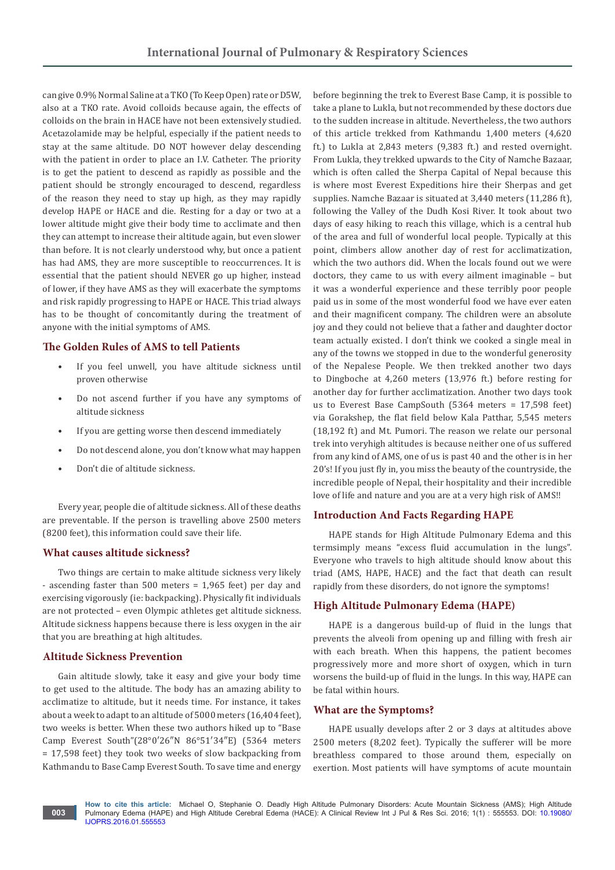can give 0.9% Normal Saline at a TKO (To Keep Open) rate or D5W, also at a TKO rate. Avoid colloids because again, the effects of colloids on the brain in HACE have not been extensively studied. Acetazolamide may be helpful, especially if the patient needs to stay at the same altitude. DO NOT however delay descending with the patient in order to place an I.V. Catheter. The priority is to get the patient to descend as rapidly as possible and the patient should be strongly encouraged to descend, regardless of the reason they need to stay up high, as they may rapidly develop HAPE or HACE and die. Resting for a day or two at a lower altitude might give their body time to acclimate and then they can attempt to increase their altitude again, but even slower than before. It is not clearly understood why, but once a patient has had AMS, they are more susceptible to reoccurrences. It is essential that the patient should NEVER go up higher, instead of lower, if they have AMS as they will exacerbate the symptoms and risk rapidly progressing to HAPE or HACE. This triad always has to be thought of concomitantly during the treatment of anyone with the initial symptoms of AMS.

# **The Golden Rules of AMS to tell Patients**

- If you feel unwell, you have altitude sickness until proven otherwise
- Do not ascend further if you have any symptoms of altitude sickness
- If you are getting worse then descend immediately
- Do not descend alone, you don't know what may happen
- Don't die of altitude sickness.

Every year, people die of altitude sickness. All of these deaths are preventable. If the person is travelling above 2500 meters (8200 feet), this information could save their life.

#### **What causes altitude sickness?**

Two things are certain to make altitude sickness very likely - ascending faster than 500 meters = 1,965 feet) per day and exercising vigorously (ie: backpacking). Physically fit individuals are not protected – even Olympic athletes get altitude sickness. Altitude sickness happens because there is less oxygen in the air that you are breathing at high altitudes.

# **Altitude Sickness Prevention**

**003**

Gain altitude slowly, take it easy and give your body time to get used to the altitude. The body has an amazing ability to acclimatize to altitude, but it needs time. For instance, it takes about a week to adapt to an altitude of 5000 meters (16,404 feet), two weeks is better. When these two authors hiked up to "Base Camp Everest South"(28°0′26″N 86°51′34″E) (5364 meters = 17,598 feet) they took two weeks of slow backpacking from Kathmandu to Base Camp Everest South. To save time and energy

before beginning the trek to Everest Base Camp, it is possible to take a plane to Lukla, but not recommended by these doctors due to the sudden increase in altitude. Nevertheless, the two authors of this article trekked from Kathmandu 1,400 meters (4,620 ft.) to Lukla at 2,843 meters (9,383 ft.) and rested overnight. From Lukla, they trekked upwards to the City of Namche Bazaar, which is often called the Sherpa Capital of Nepal because this is where most Everest Expeditions hire their Sherpas and get supplies. Namche Bazaar is situated at 3,440 meters (11,286 ft), following the Valley of the Dudh Kosi River. It took about two days of easy hiking to reach this village, which is a central hub of the area and full of wonderful local people. Typically at this point, climbers allow another day of rest for acclimatization, which the two authors did. When the locals found out we were doctors, they came to us with every ailment imaginable – but it was a wonderful experience and these terribly poor people paid us in some of the most wonderful food we have ever eaten and their magnificent company. The children were an absolute joy and they could not believe that a father and daughter doctor team actually existed. I don't think we cooked a single meal in any of the towns we stopped in due to the wonderful generosity of the Nepalese People. We then trekked another two days to Dingboche at 4,260 meters (13,976 ft.) before resting for another day for further acclimatization. Another two days took us to Everest Base CampSouth (5364 meters = 17,598 feet) via Gorakshep, the flat field below Kala Patthar, 5,545 meters (18,192 ft) and Mt. Pumori. The reason we relate our personal trek into veryhigh altitudes is because neither one of us suffered from any kind of AMS, one of us is past 40 and the other is in her 20's! If you just fly in, you miss the beauty of the countryside, the incredible people of Nepal, their hospitality and their incredible love of life and nature and you are at a very high risk of AMS!!

#### **Introduction And Facts Regarding HAPE**

HAPE stands for High Altitude Pulmonary Edema and this termsimply means "excess fluid accumulation in the lungs". Everyone who travels to high altitude should know about this triad (AMS, HAPE, HACE) and the fact that death can result rapidly from these disorders, do not ignore the symptoms!

#### **High Altitude Pulmonary Edema (HAPE)**

HAPE is a dangerous build-up of fluid in the lungs that prevents the alveoli from opening up and filling with fresh air with each breath. When this happens, the patient becomes progressively more and more short of oxygen, which in turn worsens the build-up of fluid in the lungs. In this way, HAPE can be fatal within hours.

#### **What are the Symptoms?**

HAPE usually develops after 2 or 3 days at altitudes above 2500 meters (8,202 feet). Typically the sufferer will be more breathless compared to those around them, especially on exertion. Most patients will have symptoms of acute mountain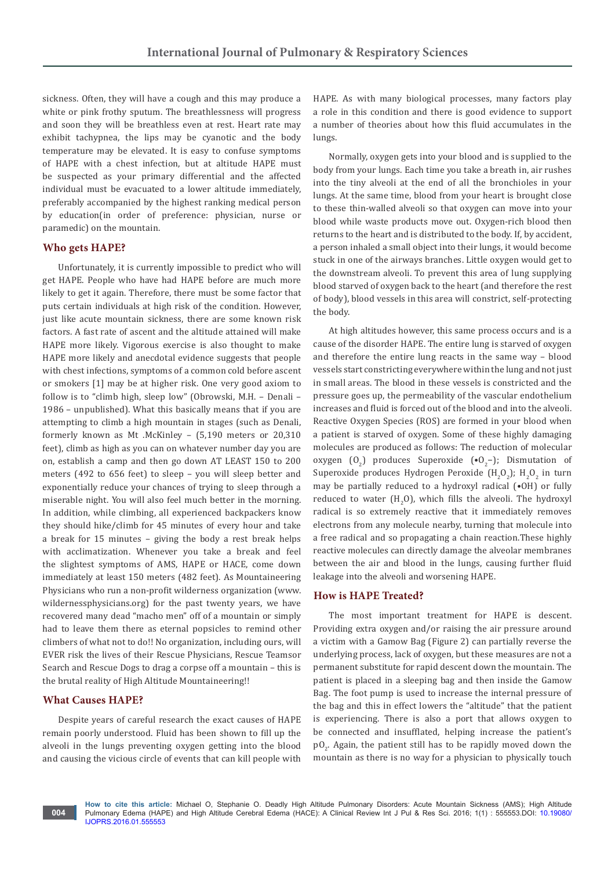sickness. Often, they will have a cough and this may produce a white or pink frothy sputum. The breathlessness will progress and soon they will be breathless even at rest. Heart rate may exhibit tachypnea, the lips may be cyanotic and the body temperature may be elevated. It is easy to confuse symptoms of HAPE with a chest infection, but at altitude HAPE must be suspected as your primary differential and the affected individual must be evacuated to a lower altitude immediately, preferably accompanied by the highest ranking medical person by education(in order of preference: physician, nurse or paramedic) on the mountain.

#### **Who gets HAPE?**

Unfortunately, it is currently impossible to predict who will get HAPE. People who have had HAPE before are much more likely to get it again. Therefore, there must be some factor that puts certain individuals at high risk of the condition. However, just like acute mountain sickness, there are some known risk factors. A fast rate of ascent and the altitude attained will make HAPE more likely. Vigorous exercise is also thought to make HAPE more likely and anecdotal evidence suggests that people with chest infections, symptoms of a common cold before ascent or smokers [1] may be at higher risk. One very good axiom to follow is to "climb high, sleep low" (Obrowski, M.H. – Denali – 1986 – unpublished). What this basically means that if you are attempting to climb a high mountain in stages (such as Denali, formerly known as Mt .McKinley – (5,190 meters or 20,310 feet), climb as high as you can on whatever number day you are on, establish a camp and then go down AT LEAST 150 to 200 meters (492 to 656 feet) to sleep – you will sleep better and exponentially reduce your chances of trying to sleep through a miserable night. You will also feel much better in the morning. In addition, while climbing, all experienced backpackers know they should hike/climb for 45 minutes of every hour and take a break for 15 minutes – giving the body a rest break helps with acclimatization. Whenever you take a break and feel the slightest symptoms of AMS, HAPE or HACE, come down immediately at least 150 meters (482 feet). As Mountaineering Physicians who run a non-profit wilderness organization (www. wildernessphysicians.org) for the past twenty years, we have recovered many dead "macho men" off of a mountain or simply had to leave them there as eternal popsicles to remind other climbers of what not to do!! No organization, including ours, will EVER risk the lives of their Rescue Physicians, Rescue Teamsor Search and Rescue Dogs to drag a corpse off a mountain – this is the brutal reality of High Altitude Mountaineering!!

#### **What Causes HAPE?**

Despite years of careful research the exact causes of HAPE remain poorly understood. Fluid has been shown to fill up the alveoli in the lungs preventing oxygen getting into the blood and causing the vicious circle of events that can kill people with

HAPE. As with many biological processes, many factors play a role in this condition and there is good evidence to support a number of theories about how this fluid accumulates in the lungs.

Normally, oxygen gets into your blood and is supplied to the body from your lungs. Each time you take a breath in, air rushes into the tiny alveoli at the end of all the bronchioles in your lungs. At the same time, blood from your heart is brought close to these thin-walled alveoli so that oxygen can move into your blood while waste products move out. Oxygen-rich blood then returns to the heart and is distributed to the body. If, by accident, a person inhaled a small object into their lungs, it would become stuck in one of the airways branches. Little oxygen would get to the downstream alveoli. To prevent this area of lung supplying blood starved of oxygen back to the heart (and therefore the rest of body), blood vessels in this area will constrict, self-protecting the body.

At high altitudes however, this same process occurs and is a cause of the disorder HAPE. The entire lung is starved of oxygen and therefore the entire lung reacts in the same way – blood vessels start constricting everywhere within the lung and not just in small areas. The blood in these vessels is constricted and the pressure goes up, the permeability of the vascular endothelium increases and fluid is forced out of the blood and into the alveoli. Reactive Oxygen Species (ROS) are formed in your blood when a patient is starved of oxygen. Some of these highly damaging molecules are produced as follows: The reduction of molecular oxygen  $(0_2)$  produces Superoxide ( $(0_2-)$ ; Dismutation of Superoxide produces Hydrogen Peroxide (H<sub>2</sub>O<sub>2</sub>); H<sub>2</sub>O<sub>2</sub> in turn may be partially reduced to a hydroxyl radical (•OH) or fully reduced to water  $(H_2O)$ , which fills the alveoli. The hydroxyl radical is so extremely reactive that it immediately removes electrons from any molecule nearby, turning that molecule into a free radical and so propagating a chain reaction.These highly reactive molecules can directly damage the alveolar membranes between the air and blood in the lungs, causing further fluid leakage into the alveoli and worsening HAPE.

#### **How is HAPE Treated?**

The most important treatment for HAPE is descent. Providing extra oxygen and/or raising the air pressure around a victim with a Gamow Bag (Figure 2) can partially reverse the underlying process, lack of oxygen, but these measures are not a permanent substitute for rapid descent down the mountain. The patient is placed in a sleeping bag and then inside the Gamow Bag. The foot pump is used to increase the internal pressure of the bag and this in effect lowers the "altitude" that the patient is experiencing. There is also a port that allows oxygen to be connected and insufflated, helping increase the patient's  $\text{pO}_2$ . Again, the patient still has to be rapidly moved down the mountain as there is no way for a physician to physically touch

**How to cite this article:** Michael O, Stephanie O. Deadly High Altitude Pulmonary Disorders: Acute Mountain Sickness (AMS); High Altitude Pulmonary Edema (HAPE) and High Altitude Cerebral Edema (HACE): A Clinical Review Int J Pul & Res Sci. 2016; 1(1) : 555553.DOI: [10.19080/](http://dx.doi.org/10.19080/IJOPRS.2016.01.555553
) [IJOPRS.2016.01.555553](http://dx.doi.org/10.19080/IJOPRS.2016.01.555553
)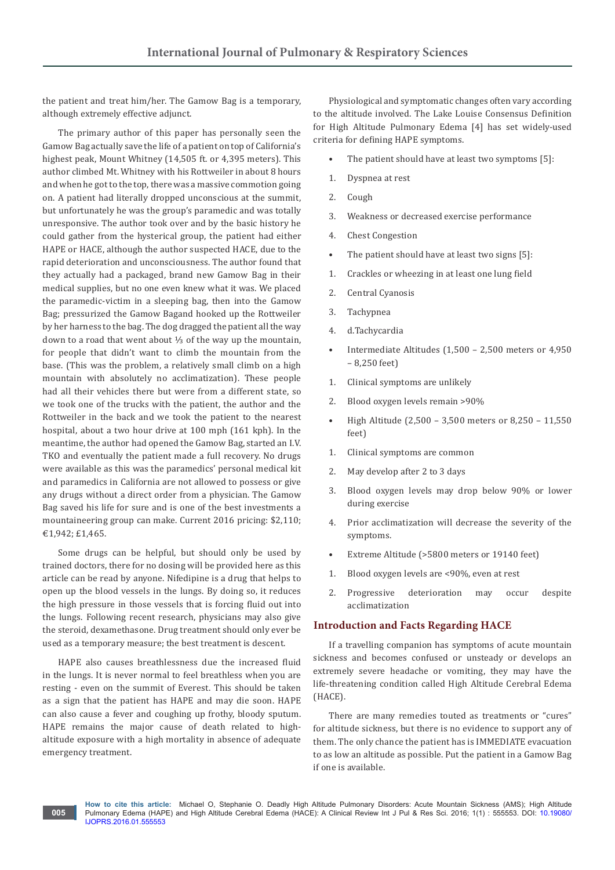the patient and treat him/her. The Gamow Bag is a temporary, although extremely effective adjunct.

The primary author of this paper has personally seen the Gamow Bag actually save the life of a patient on top of California's highest peak, Mount Whitney (14,505 ft. or 4,395 meters). This author climbed Mt. Whitney with his Rottweiler in about 8 hours and when he got to the top, there was a massive commotion going on. A patient had literally dropped unconscious at the summit, but unfortunately he was the group's paramedic and was totally unresponsive. The author took over and by the basic history he could gather from the hysterical group, the patient had either HAPE or HACE, although the author suspected HACE, due to the rapid deterioration and unconsciousness. The author found that they actually had a packaged, brand new Gamow Bag in their medical supplies, but no one even knew what it was. We placed the paramedic-victim in a sleeping bag, then into the Gamow Bag; pressurized the Gamow Bagand hooked up the Rottweiler by her harness to the bag. The dog dragged the patient all the way down to a road that went about ⅓ of the way up the mountain, for people that didn't want to climb the mountain from the base. (This was the problem, a relatively small climb on a high mountain with absolutely no acclimatization). These people had all their vehicles there but were from a different state, so we took one of the trucks with the patient, the author and the Rottweiler in the back and we took the patient to the nearest hospital, about a two hour drive at 100 mph (161 kph). In the meantime, the author had opened the Gamow Bag, started an I.V. TKO and eventually the patient made a full recovery. No drugs were available as this was the paramedics' personal medical kit and paramedics in California are not allowed to possess or give any drugs without a direct order from a physician. The Gamow Bag saved his life for sure and is one of the best investments a mountaineering group can make. Current 2016 pricing: \$2,110; €1,942; £1,465.

Some drugs can be helpful, but should only be used by trained doctors, there for no dosing will be provided here as this article can be read by anyone. Nifedipine is a drug that helps to open up the blood vessels in the lungs. By doing so, it reduces the high pressure in those vessels that is forcing fluid out into the lungs. Following recent research, physicians may also give the steroid, dexamethasone. Drug treatment should only ever be used as a temporary measure; the best treatment is descent.

HAPE also causes breathlessness due the increased fluid in the lungs. It is never normal to feel breathless when you are resting - even on the summit of Everest. This should be taken as a sign that the patient has HAPE and may die soon. HAPE can also cause a fever and coughing up frothy, bloody sputum. HAPE remains the major cause of death related to highaltitude exposure with a high mortality in absence of adequate emergency treatment.

**005**

Physiological and symptomatic changes often vary according to the altitude involved. The Lake Louise Consensus Definition for High Altitude Pulmonary Edema [4] has set widely-used criteria for defining HAPE symptoms.

- The patient should have at least two symptoms [5]:
- 1. Dyspnea at rest
- 2. Cough
- 3. Weakness or decreased exercise performance
- 4. Chest Congestion
- The patient should have at least two signs [5]:
- 1. Crackles or wheezing in at least one lung field
- 2. Central Cyanosis
- 3. Tachypnea
- 4. d.Tachycardia
- Intermediate Altitudes (1,500 2,500 meters or 4,950 – 8,250 feet)
- 1. Clinical symptoms are unlikely
- 2. Blood oxygen levels remain >90%
- High Altitude (2,500 3,500 meters or 8,250 11,550 feet)
- 1. Clinical symptoms are common
- 2. May develop after 2 to 3 days
- 3. Blood oxygen levels may drop below 90% or lower during exercise
- 4. Prior acclimatization will decrease the severity of the symptoms.
- Extreme Altitude (>5800 meters or 19140 feet)
- 1. Blood oxygen levels are <90%, even at rest
- 2. Progressive deterioration may occur despite acclimatization

#### **Introduction and Facts Regarding HACE**

If a travelling companion has symptoms of acute mountain sickness and becomes confused or unsteady or develops an extremely severe headache or vomiting, they may have the life-threatening condition called High Altitude Cerebral Edema (HACE).

There are many remedies touted as treatments or "cures" for altitude sickness, but there is no evidence to support any of them. The only chance the patient has is IMMEDIATE evacuation to as low an altitude as possible. Put the patient in a Gamow Bag if one is available.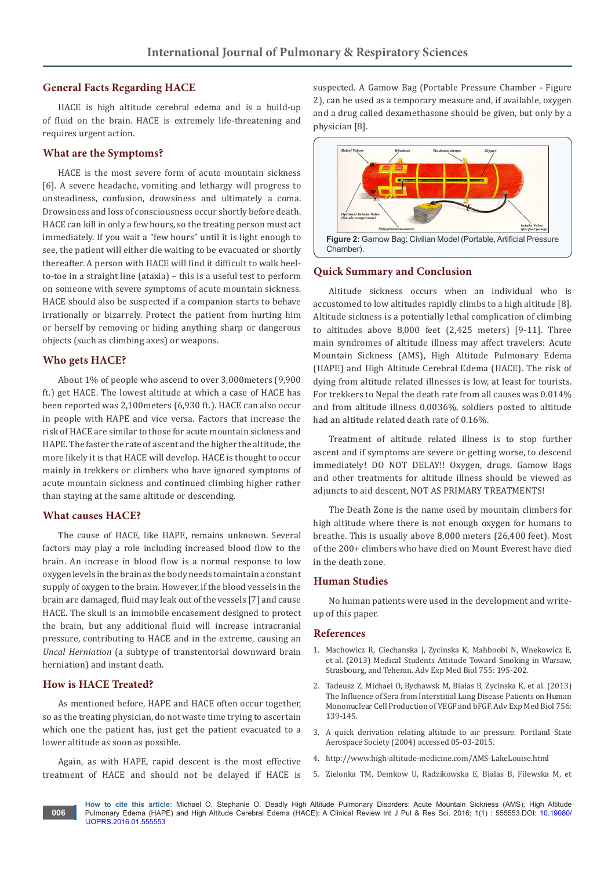# **General Facts Regarding HACE**

HACE is high altitude cerebral edema and is a build-up of fluid on the brain. HACE is extremely life-threatening and requires urgent action.

#### **What are the Symptoms?**

HACE is the most severe form of acute mountain sickness [6]. A severe headache, vomiting and lethargy will progress to unsteadiness, confusion, drowsiness and ultimately a coma. Drowsiness and loss of consciousness occur shortly before death. HACE can kill in only a few hours, so the treating person must act immediately. If you wait a "few hours" until it is light enough to see, the patient will either die waiting to be evacuated or shortly thereafter. A person with HACE will find it difficult to walk heelto-toe in a straight line (ataxia) – this is a useful test to perform on someone with severe symptoms of acute mountain sickness. HACE should also be suspected if a companion starts to behave irrationally or bizarrely. Protect the patient from hurting him or herself by removing or hiding anything sharp or dangerous objects (such as climbing axes) or weapons.

# **Who gets HACE?**

About 1% of people who ascend to over 3,000meters (9,900 ft.) get HACE. The lowest altitude at which a case of HACE has been reported was 2,100meters (6,930 ft.). HACE can also occur in people with HAPE and vice versa. Factors that increase the risk of HACE are similar to those for acute mountain sickness and HAPE. The faster the rate of ascent and the higher the altitude, the more likely it is that HACE will develop. HACE is thought to occur mainly in trekkers or climbers who have ignored symptoms of acute mountain sickness and continued climbing higher rather than staying at the same altitude or descending.

## **What causes HACE?**

The cause of HACE, like HAPE, remains unknown. Several factors may play a role including increased blood flow to the brain. An increase in blood flow is a normal response to low oxygen levels in the brain as the body needs to maintain a constant supply of oxygen to the brain. However, if the blood vessels in the brain are damaged, fluid may leak out of the vessels [7] and cause HACE. The skull is an immobile encasement designed to protect the brain, but any additional fluid will increase intracranial pressure, contributing to HACE and in the extreme, causing an *Uncal Herniation* (a subtype of transtentorial downward brain herniation) and instant death.

## **How is HACE Treated?**

As mentioned before, HAPE and HACE often occur together, so as the treating physician, do not waste time trying to ascertain which one the patient has, just get the patient evacuated to a lower altitude as soon as possible.

Again, as with HAPE, rapid descent is the most effective treatment of HACE and should not be delayed if HACE is suspected. A Gamow Bag (Portable Pressure Chamber - Figure 2), can be used as a temporary measure and, if available, oxygen and a drug called dexamethasone should be given, but only by a physician [8].



#### **Quick Summary and Conclusion**

Altitude sickness occurs when an individual who is accustomed to low altitudes rapidly climbs to a high altitude [8]. Altitude sickness is a potentially lethal complication of climbing to altitudes above 8,000 feet (2,425 meters) [9-11]. Three main syndromes of altitude illness may affect travelers: Acute Mountain Sickness (AMS), High Altitude Pulmonary Edema (HAPE) and High Altitude Cerebral Edema (HACE). The risk of dying from altitude related illnesses is low, at least for tourists. For trekkers to Nepal the death rate from all causes was 0.014% and from altitude illness 0.0036%, soldiers posted to altitude had an altitude related death rate of 0.16%.

Treatment of altitude related illness is to stop further ascent and if symptoms are severe or getting worse, to descend immediately! DO NOT DELAY!! Oxygen, drugs, Gamow Bags and other treatments for altitude illness should be viewed as adjuncts to aid descent, NOT AS PRIMARY TREATMENTS!

The Death Zone is the name used by mountain climbers for high altitude where there is not enough oxygen for humans to breathe. This is usually above 8,000 meters (26,400 feet). Most of the 200+ climbers who have died on Mount Everest have died in the death zone.

# **Human Studies**

No human patients were used in the development and writeup of this paper.

#### **References**

- 1. [Machowicz R, Ciechanska J, Zycinska K, Mahboobi N, Wnekowicz E,](http://www.ncbi.nlm.nih.gov/pubmed/22826067)  [et al. \(2013\) Medical Students Attitude Toward Smoking in Warsaw,](http://www.ncbi.nlm.nih.gov/pubmed/22826067)  [Strasbourg, and Teheran. Adv Exp Med Biol 755: 195-202.](http://www.ncbi.nlm.nih.gov/pubmed/22826067)
- 2. [Tadeusz Z, Michael O, Bychawsk M, Bialas B, Zycinska K, et al. \(2013\)](http://michaelobrowski.blogspot.in/2013/01/the-influence-of-sera-from-interstitial.html)  [The Influence of Sera from Interstitial Lung Disease Patients on Human](http://michaelobrowski.blogspot.in/2013/01/the-influence-of-sera-from-interstitial.html)  [Mononuclear Cell Production of VEGF and bFGF. Adv Exp Med Biol 756:](http://michaelobrowski.blogspot.in/2013/01/the-influence-of-sera-from-interstitial.html)  [139-145.](http://michaelobrowski.blogspot.in/2013/01/the-influence-of-sera-from-interstitial.html)
- 3. A quick derivation relating altitude to air pressure. Portland State Aerospace Society (2004) accessed 05-03-2015.
- 4. <http://www.high-altitude-medicine.com/AMS-LakeLouise.html>
- 5. [Zielonka TM, Demkow U, Radzikowska E, Bialas B, Filewska M, et](http://www.ncbi.nlm.nih.gov/pubmed/21147657)